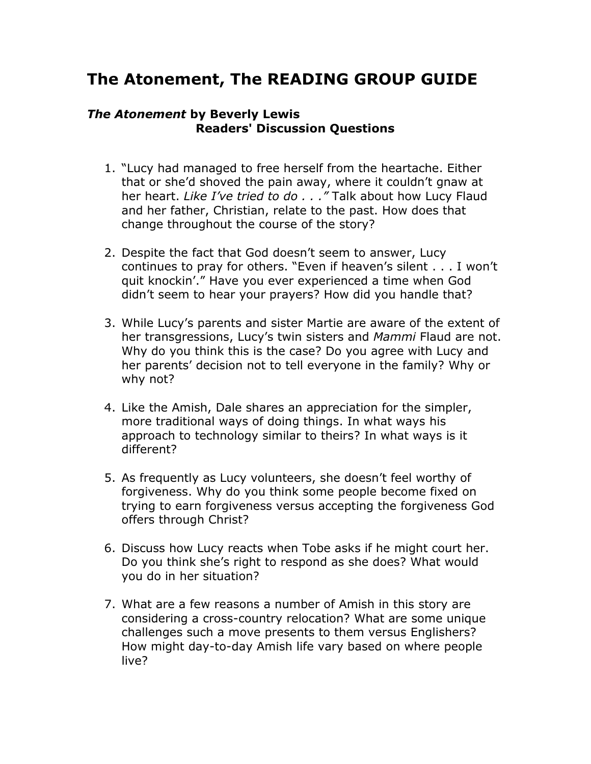## **The Atonement, The READING GROUP GUIDE**

## *The Atonement* **by Beverly Lewis Readers' Discussion Questions**

- 1. "Lucy had managed to free herself from the heartache. Either that or she'd shoved the pain away, where it couldn't gnaw at her heart. *Like I've tried to do . . ."* Talk about how Lucy Flaud and her father, Christian, relate to the past. How does that change throughout the course of the story?
- 2. Despite the fact that God doesn't seem to answer, Lucy continues to pray for others. "Even if heaven's silent . . . I won't quit knockin'." Have you ever experienced a time when God didn't seem to hear your prayers? How did you handle that?
- 3. While Lucy's parents and sister Martie are aware of the extent of her transgressions, Lucy's twin sisters and *Mammi* Flaud are not. Why do you think this is the case? Do you agree with Lucy and her parents' decision not to tell everyone in the family? Why or why not?
- 4. Like the Amish, Dale shares an appreciation for the simpler, more traditional ways of doing things. In what ways his approach to technology similar to theirs? In what ways is it different?
- 5. As frequently as Lucy volunteers, she doesn't feel worthy of forgiveness. Why do you think some people become fixed on trying to earn forgiveness versus accepting the forgiveness God offers through Christ?
- 6. Discuss how Lucy reacts when Tobe asks if he might court her. Do you think she's right to respond as she does? What would you do in her situation?
- 7. What are a few reasons a number of Amish in this story are considering a cross-country relocation? What are some unique challenges such a move presents to them versus Englishers? How might day-to-day Amish life vary based on where people live?